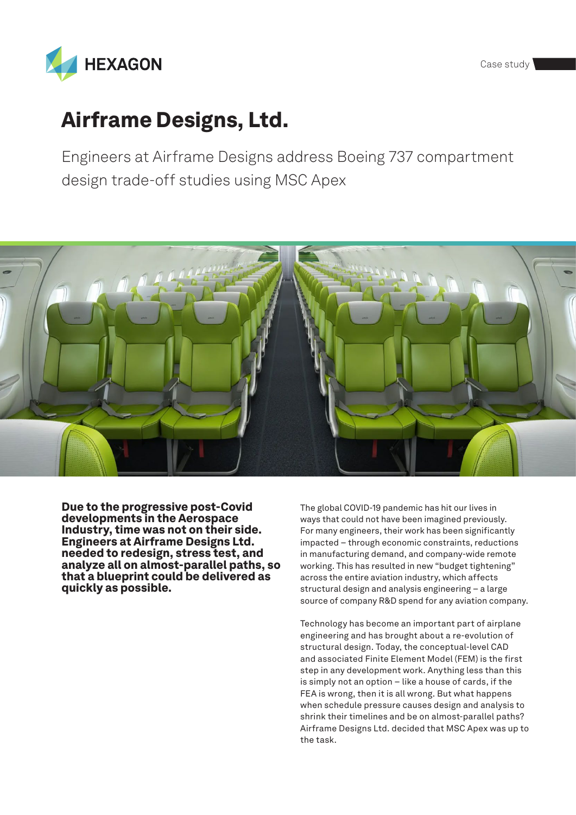



# Airframe Designs, Ltd.

Engineers at Airframe Designs address Boeing 737 compartment design trade-off studies using MSC Apex



Due to the progressive post-Covid developments in the Aerospace Industry, time was not on their side. Engineers at Airframe Designs Ltd. needed to redesign, stress test, and analyze all on almost-parallel paths, so that a blueprint could be delivered as quickly as possible.

The global COVID-19 pandemic has hit our lives in ways that could not have been imagined previously. For many engineers, their work has been significantly impacted – through economic constraints, reductions in manufacturing demand, and company-wide remote working. This has resulted in new "budget tightening" across the entire aviation industry, which affects structural design and analysis engineering – a large source of company R&D spend for any aviation company.

Technology has become an important part of airplane engineering and has brought about a re-evolution of structural design. Today, the conceptual-level CAD and associated Finite Element Model (FEM) is the first step in any development work. Anything less than this is simply not an option – like a house of cards, if the FEA is wrong, then it is all wrong. But what happens when schedule pressure causes design and analysis to shrink their timelines and be on almost-parallel paths? Airframe Designs Ltd. decided that MSC Apex was up to the task.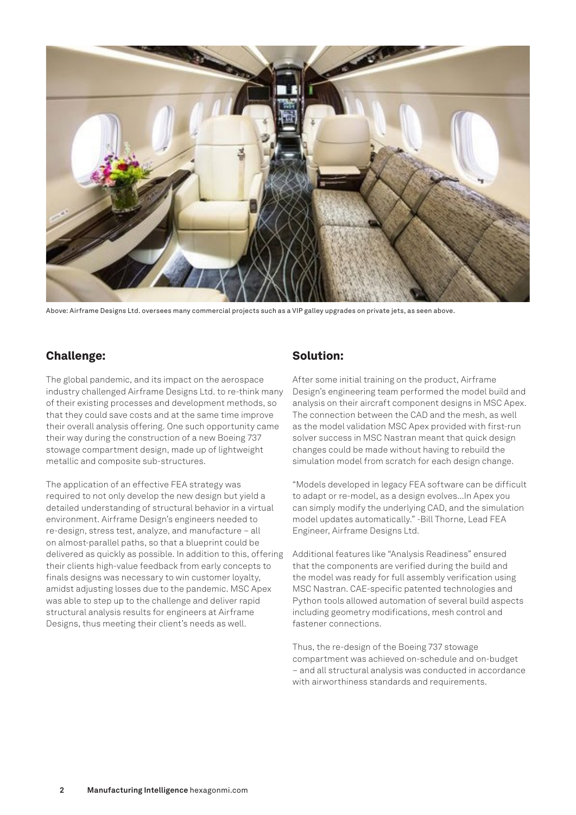

Above: Airframe Designs Ltd. oversees many commercial projects such as a VIP galley upgrades on private jets, as seen above.

### Challenge:

The global pandemic, and its impact on the aerospace industry challenged Airframe Designs Ltd. to re-think many of their existing processes and development methods, so that they could save costs and at the same time improve their overall analysis offering. One such opportunity came their way during the construction of a new Boeing 737 stowage compartment design, made up of lightweight metallic and composite sub-structures.

The application of an effective FEA strategy was required to not only develop the new design but yield a detailed understanding of structural behavior in a virtual environment. Airframe Design's engineers needed to re-design, stress test, analyze, and manufacture – all on almost-parallel paths, so that a blueprint could be delivered as quickly as possible. In addition to this, offering their clients high-value feedback from early concepts to finals designs was necessary to win customer loyalty, amidst adjusting losses due to the pandemic. MSC Apex was able to step up to the challenge and deliver rapid structural analysis results for engineers at Airframe Designs, thus meeting their client's needs as well.

#### Solution:

After some initial training on the product, Airframe Design's engineering team performed the model build and analysis on their aircraft component designs in MSC Apex. The connection between the CAD and the mesh, as well as the model validation MSC Apex provided with first-run solver success in MSC Nastran meant that quick design changes could be made without having to rebuild the simulation model from scratch for each design change.

"Models developed in legacy FEA software can be difficult to adapt or re-model, as a design evolves...In Apex you can simply modify the underlying CAD, and the simulation model updates automatically." -Bill Thorne, Lead FEA Engineer, Airframe Designs Ltd.

Additional features like "Analysis Readiness" ensured that the components are verified during the build and the model was ready for full assembly verification using MSC Nastran. CAE-specific patented technologies and Python tools allowed automation of several build aspects including geometry modifications, mesh control and fastener connections.

Thus, the re-design of the Boeing 737 stowage compartment was achieved on-schedule and on-budget – and all structural analysis was conducted in accordance with airworthiness standards and requirements.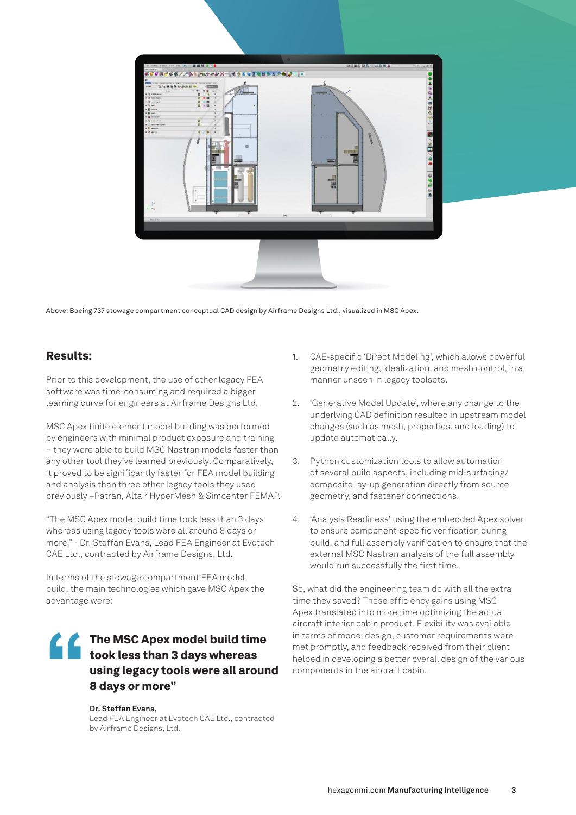

Above: Boeing 737 stowage compartment conceptual CAD design by Airframe Designs Ltd., visualized in MSC Apex.

#### Results:

Prior to this development, the use of other legacy FEA software was time-consuming and required a bigger learning curve for engineers at Airframe Designs Ltd.

MSC Apex finite element model building was performed by engineers with minimal product exposure and training – they were able to build MSC Nastran models faster than any other tool they've learned previously. Comparatively, it proved to be significantly faster for FEA model building and analysis than three other legacy tools they used previously –Patran, Altair HyperMesh & Simcenter FEMAP.

"The MSC Apex model build time took less than 3 days whereas using legacy tools were all around 8 days or more." - Dr. Steffan Evans, Lead FEA Engineer at Evotech CAE Ltd., contracted by Airframe Designs, Ltd.

In terms of the stowage compartment FEA model build, the main technologies which gave MSC Apex the advantage were:

## The MSC Apex model build time<br>took less than 3 days whereas<br>using legacy tools were all arour<br>8 days or more" took less than 3 days whereas using legacy tools were all around 8 days or more"

#### **Dr. Steffan Evans,**

Lead FEA Engineer at Evotech CAE Ltd., contracted by Airframe Designs, Ltd.

- 1. CAE-specific 'Direct Modeling', which allows powerful geometry editing, idealization, and mesh control, in a manner unseen in legacy toolsets.
- 2. 'Generative Model Update', where any change to the underlying CAD definition resulted in upstream model changes (such as mesh, properties, and loading) to update automatically.
- 3. Python customization tools to allow automation of several build aspects, including mid-surfacing/ composite lay-up generation directly from source geometry, and fastener connections.
- 4. 'Analysis Readiness' using the embedded Apex solver to ensure component-specific verification during build, and full assembly verification to ensure that the external MSC Nastran analysis of the full assembly would run successfully the first time.

So, what did the engineering team do with all the extra time they saved? These efficiency gains using MSC Apex translated into more time optimizing the actual aircraft interior cabin product. Flexibility was available in terms of model design, customer requirements were met promptly, and feedback received from their client helped in developing a better overall design of the various components in the aircraft cabin.